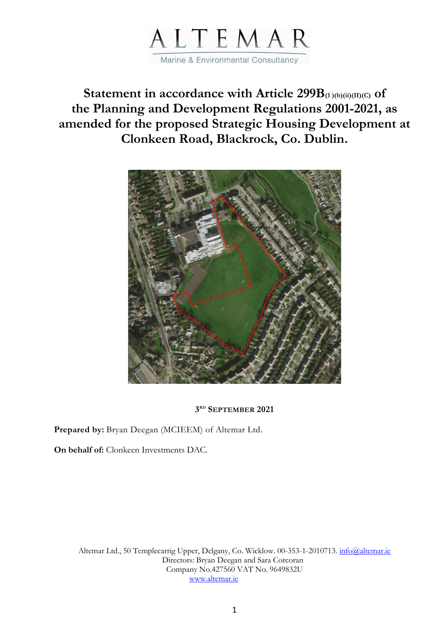

**Statement in accordance with Article 299B(1 )(b)(ii)(II)(C) of the Planning and Development Regulations 2001-2021, as amended for the proposed Strategic Housing Development at Clonkeen Road, Blackrock, Co. Dublin.**



# **3 RD SEPTEMBER 2021**

**Prepared by:** Bryan Deegan (MCIEEM) of Altemar Ltd.

**On behalf of:** Clonkeen Investments DAC.

Altemar Ltd., 50 Templecarrig Upper, Delgany, Co. Wicklow. 00-353-1-2010713. [info@altemar.ie](mailto:info@altemar.ie) Directors: Bryan Deegan and Sara Corcoran Company No.427560 VAT No. 9649832U [www.altemar.ie](http://www.altemar.ie/)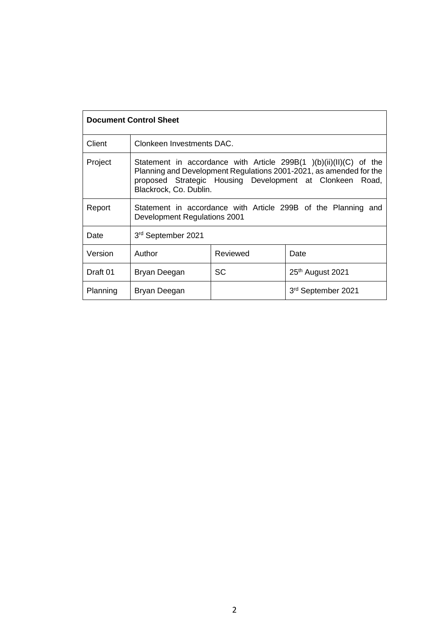| <b>Document Control Sheet</b> |                                                                                                                                                                                                                                      |          |                              |  |  |
|-------------------------------|--------------------------------------------------------------------------------------------------------------------------------------------------------------------------------------------------------------------------------------|----------|------------------------------|--|--|
| Client                        | Clonkeen Investments DAC.                                                                                                                                                                                                            |          |                              |  |  |
| Project                       | Statement in accordance with Article 299B $(1)$ (b) $(ii)(II)(C)$ of the<br>Planning and Development Regulations 2001-2021, as amended for the<br>proposed Strategic Housing Development at Clonkeen Road,<br>Blackrock, Co. Dublin. |          |                              |  |  |
| Report                        | Statement in accordance with Article 299B of the Planning and<br>Development Regulations 2001                                                                                                                                        |          |                              |  |  |
| Date                          | 3rd September 2021                                                                                                                                                                                                                   |          |                              |  |  |
| Version                       | Author                                                                                                                                                                                                                               | Reviewed | Date                         |  |  |
| Draft 01                      | Bryan Deegan                                                                                                                                                                                                                         | SC       | 25 <sup>th</sup> August 2021 |  |  |
| Planning                      | Bryan Deegan                                                                                                                                                                                                                         |          | 3rd September 2021           |  |  |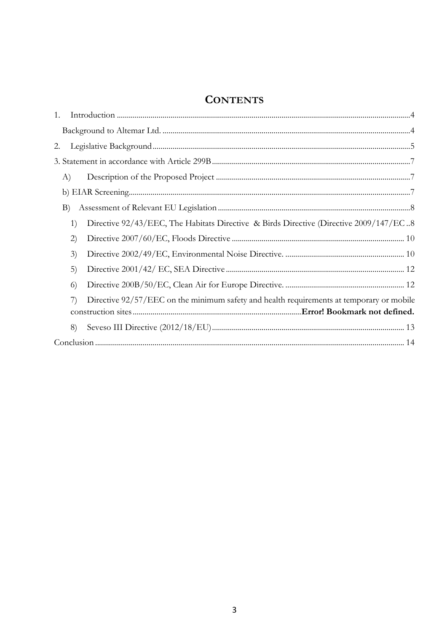# **CONTENTS**

| 1.       |                                                                                          |  |
|----------|------------------------------------------------------------------------------------------|--|
|          |                                                                                          |  |
| 2.       |                                                                                          |  |
|          |                                                                                          |  |
| A)       |                                                                                          |  |
|          |                                                                                          |  |
| B)       |                                                                                          |  |
| 1)       | Directive 92/43/EEC, The Habitats Directive & Birds Directive (Directive 2009/147/EC8    |  |
| (2)      |                                                                                          |  |
| 3)       |                                                                                          |  |
| 5)       |                                                                                          |  |
| $\left($ |                                                                                          |  |
| 7)       | Directive 92/57/EEC on the minimum safety and health requirements at temporary or mobile |  |
|          |                                                                                          |  |
| 8)       |                                                                                          |  |
|          |                                                                                          |  |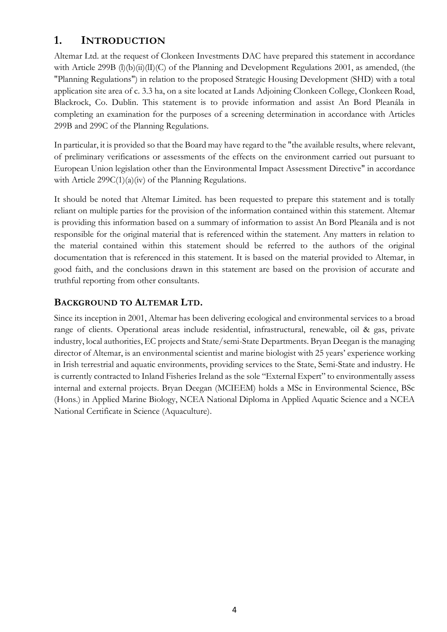# <span id="page-3-0"></span>**1. INTRODUCTION**

Altemar Ltd. at the request of Clonkeen Investments DAC have prepared this statement in accordance with Article 299B (l)(b)(ii)(lI)(C) of the Planning and Development Regulations 2001, as amended, (the "Planning Regulations") in relation to the proposed Strategic Housing Development (SHD) with a total application site area of c. 3.3 ha, on a site located at Lands Adjoining Clonkeen College, Clonkeen Road, Blackrock, Co. Dublin. This statement is to provide information and assist An Bord Pleanála in completing an examination for the purposes of a screening determination in accordance with Articles 299B and 299C of the Planning Regulations.

In particular, it is provided so that the Board may have regard to the "the available results, where relevant, of preliminary verifications or assessments of the effects on the environment carried out pursuant to European Union legislation other than the Environmental Impact Assessment Directive" in accordance with Article 299C(1)(a)(iv) of the Planning Regulations.

It should be noted that Altemar Limited. has been requested to prepare this statement and is totally reliant on multiple parties for the provision of the information contained within this statement. Altemar is providing this information based on a summary of information to assist An Bord Pleanála and is not responsible for the original material that is referenced within the statement. Any matters in relation to the material contained within this statement should be referred to the authors of the original documentation that is referenced in this statement. It is based on the material provided to Altemar, in good faith, and the conclusions drawn in this statement are based on the provision of accurate and truthful reporting from other consultants.

# <span id="page-3-1"></span>**BACKGROUND TO ALTEMAR LTD.**

Since its inception in 2001, Altemar has been delivering ecological and environmental services to a broad range of clients. Operational areas include residential, infrastructural, renewable, oil & gas, private industry, local authorities, EC projects and State/semi-State Departments. Bryan Deegan is the managing director of Altemar, is an environmental scientist and marine biologist with 25 years' experience working in Irish terrestrial and aquatic environments, providing services to the State, Semi-State and industry. He is currently contracted to Inland Fisheries Ireland as the sole "External Expert" to environmentally assess internal and external projects. Bryan Deegan (MCIEEM) holds a MSc in Environmental Science, BSc (Hons.) in Applied Marine Biology, NCEA National Diploma in Applied Aquatic Science and a NCEA National Certificate in Science (Aquaculture).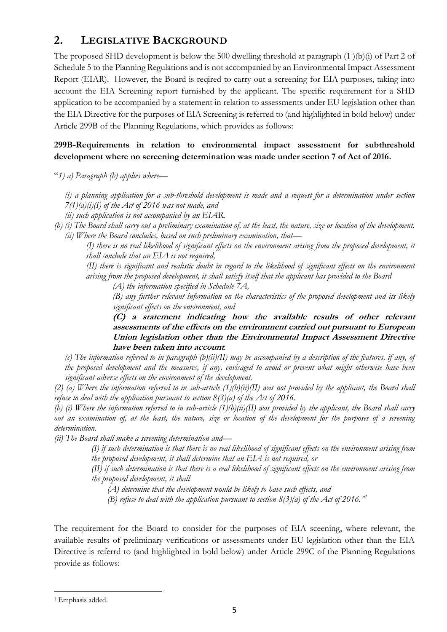# <span id="page-4-0"></span>**2. LEGISLATIVE BACKGROUND**

The proposed SHD development is below the 500 dwelling threshold at paragraph (1 )(b)(i) of Part 2 of Schedule 5 to the Planning Regulations and is not accompanied by an Environmental Impact Assessment Report (EIAR). However, the Board is reqired to carry out a screening for EIA purposes, taking into account the EIA Screening report furnished by the applicant. The specific requirement for a SHD application to be accompanied by a statement in relation to assessments under EU legislation other than the EIA Directive for the purposes of EIA Screening is referred to (and highlighted in bold below) under Article 299B of the Planning Regulations, which provides as follows:

# **299B-Requirements in relation to environmental impact assessment for subthreshold development where no screening determination was made under section 7 of Act of 2016.**

"*1) a) Paragraph (b) applies where—*

- *(i) a planning application for a sub-threshold development is made and a request for a determination under section 7(1)(a)(i)(I) of the Act of 2016 was not made, and*
- *(ii) such application is not accompanied by an EIAR.*
- *(b) (i) The Board shall carry out a preliminary examination of, at the least, the nature, size or location of the development. (ii) Where the Board concludes, based on such preliminary examination, that—*

*(I) there is no real likelihood of significant effects on the environment arising from the proposed development, it shall conclude that an EIA is not required,*

*(II) there is significant and realistic doubt in regard to the likelihood of significant effects on the environment arising from the proposed development, it shall satisfy itself that the applicant has provided to the Board*

*(A) the information specified in Schedule 7A,*

*(B) any further relevant information on the characteristics of the proposed development and its likely significant effects on the environment, and*

**(C) a statement indicating how the available results of other relevant assessments of the effects on the environment carried out pursuant to European Union legislation other than the Environmental Impact Assessment Directive have been taken into account***.*

*(c) The information referred to in paragraph (b)(ii)(II) may be accompanied by a description of the features, if any, of the proposed development and the measures, if any, envisaged to avoid or prevent what might otherwise have been significant adverse effects on the environment of the development.*

*(2) (a) Where the information referred to in sub-article (1)(b)(ii)(II) was not provided by the applicant, the Board shall refuse to deal with the application pursuant to section 8(3)(a) of the Act of 2016.*

*(b) (i) Where the information referred to in sub-article (1)(b)(ii)(II) was provided by the applicant, the Board shall carry out an examination of, at the least, the nature, size or location of the development for the purposes of a screening determination.*

*(ii) The Board shall make a screening determination and—*

*(I) if such determination is that there is no real likelihood of significant effects on the environment arising from the proposed development, it shall determine that an EIA is not required, or*

*(II) if such determination is that there is a real likelihood of significant effects on the environment arising from the proposed development, it shall* 

*(A) determine that the development would be likely to have such effects, and*

*(B) refuse to deal with the application pursuant to section 8(3)(a) of the Act of 2016."<sup>1</sup>*

The requirement for the Board to consider for the purposes of EIA sceening, where relevant, the available results of preliminary verifications or assessments under EU legislation other than the EIA Directive is referrd to (and highlighted in bold below) under Article 299C of the Planning Regulations provide as follows:

<sup>&</sup>lt;sup>1</sup> Emphasis added.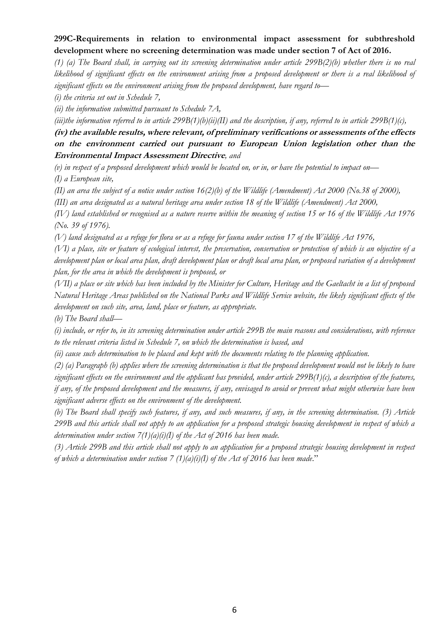# **299C-Requirements in relation to environmental impact assessment for subthreshold development where no screening determination was made under section 7 of Act of 2016.**

*(1) (a) The Board shall, in carrying out its screening determination under article 299B(2)(b) whether there is no real likelihood of significant effects on the environment arising from a proposed development or there is a real likelihood of significant effects on the environment arising from the proposed development, have regard to—*

*(i) the criteria set out in Schedule 7,*

*(ii) the information submitted pursuant to Schedule 7A,*

*(iii)the information referred to in article 299B(1)(b)(ii)(II) and the description, if any, referred to in article 299B(1)(c),*

# **(iv) the available results, where relevant, of preliminary verifications or assessments of the effects on the environment carried out pursuant to European Union legislation other than the Environmental Impact Assessment Directive***, and*

*(v) in respect of a proposed development which would be located on, or in, or have the potential to impact on— (I) a European site,*

*(II) an area the subject of a notice under section 16(2)(b) of the Wildlife (Amendment) Act 2000 (No.38 of 2000),*

*(III) an area designated as a natural heritage area under section 18 of the Wildlife (Amendment) Act 2000,*

*(IV) land established or recognised as a nature reserve within the meaning of section 15 or 16 of the Wildlife Act 1976 (No. 39 of 1976).*

*(V) land designated as a refuge for flora or as a refuge for fauna under section 17 of the Wildlife Act 1976,*

*(VI) a place, site or feature of ecological interest, the preservation, conservation or protection of which is an objective of a development plan or local area plan, draft development plan or draft local area plan, or proposed variation of a development plan, for the area in which the development is proposed, or*

*(VII) a place or site which has been included by the Minister for Culture, Heritage and the Gaeltacht in a list of proposed Natural Heritage Areas published on the National Parks and Wildlife Service website, the likely significant effects of the development on such site, area, land, place or feature, as appropriate.*

*(b) The Board shall—*

*(i) include, or refer to, in its screening determination under article 299B the main reasons and considerations, with reference to the relevant criteria listed in Schedule 7, on which the determination is based, and*

*(ii) cause such determination to be placed and kept with the documents relating to the planning application.*

*(2) (a) Paragraph (b) applies where the screening determination is that the proposed development would not be likely to have significant effects on the environment and the applicant has provided, under article 299B(1)(c), a description of the features, if any, of the proposed development and the measures, if any, envisaged to avoid or prevent what might otherwise have been significant adverse effects on the environment of the development.*

*(b) The Board shall specify such features, if any, and such measures, if any, in the screening determination. (3) Article 299B and this article shall not apply to an application for a proposed strategic housing development in respect of which a determination under section 7(1)(a)(i)(I) of the Act of 2016 has been made.*

*(3) Article 299B and this article shall not apply to an application for a proposed strategic housing development in respect of which a determination under section 7 (1)(a)(i)(I) of the Act of 2016 has been made*."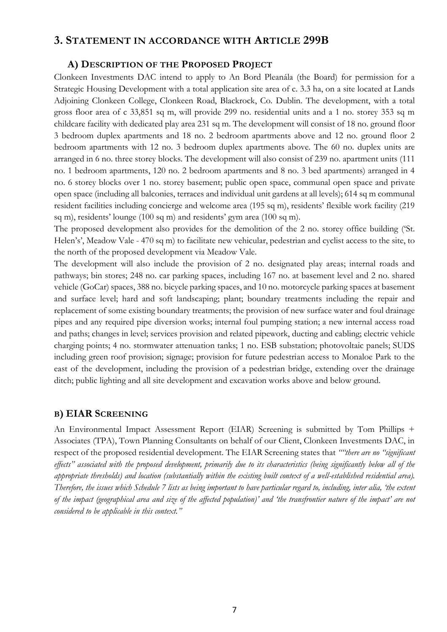# <span id="page-6-0"></span>**3. STATEMENT IN ACCORDANCE WITH ARTICLE 299B**

### **A) DESCRIPTION OF THE PROPOSED PROJECT**

<span id="page-6-1"></span>Clonkeen Investments DAC intend to apply to An Bord Pleanála (the Board) for permission for a Strategic Housing Development with a total application site area of c. 3.3 ha, on a site located at Lands Adjoining Clonkeen College, Clonkeen Road, Blackrock, Co. Dublin. The development, with a total gross floor area of c 33,851 sq m, will provide 299 no. residential units and a 1 no. storey 353 sq m childcare facility with dedicated play area 231 sq m. The development will consist of 18 no. ground floor 3 bedroom duplex apartments and 18 no. 2 bedroom apartments above and 12 no. ground floor 2 bedroom apartments with 12 no. 3 bedroom duplex apartments above. The 60 no. duplex units are arranged in 6 no. three storey blocks. The development will also consist of 239 no. apartment units (111 no. 1 bedroom apartments, 120 no. 2 bedroom apartments and 8 no. 3 bed apartments) arranged in 4 no. 6 storey blocks over 1 no. storey basement; public open space, communal open space and private open space (including all balconies, terraces and individual unit gardens at all levels); 614 sq m communal resident facilities including concierge and welcome area (195 sq m), residents' flexible work facility (219 sq m), residents' lounge (100 sq m) and residents' gym area (100 sq m).

The proposed development also provides for the demolition of the 2 no. storey office building ('St. Helen's', Meadow Vale - 470 sq m) to facilitate new vehicular, pedestrian and cyclist access to the site, to the north of the proposed development via Meadow Vale.

The development will also include the provision of 2 no. designated play areas; internal roads and pathways; bin stores; 248 no. car parking spaces, including 167 no. at basement level and 2 no. shared vehicle (GoCar) spaces, 388 no. bicycle parking spaces, and 10 no. motorcycle parking spaces at basement and surface level; hard and soft landscaping; plant; boundary treatments including the repair and replacement of some existing boundary treatments; the provision of new surface water and foul drainage pipes and any required pipe diversion works; internal foul pumping station; a new internal access road and paths; changes in level; services provision and related pipework, ducting and cabling; electric vehicle charging points; 4 no. stormwater attenuation tanks; 1 no. ESB substation; photovoltaic panels; SUDS including green roof provision; signage; provision for future pedestrian access to Monaloe Park to the east of the development, including the provision of a pedestrian bridge, extending over the drainage ditch; public lighting and all site development and excavation works above and below ground.

# <span id="page-6-2"></span>**B) EIAR SCREENING**

An Environmental Impact Assessment Report (EIAR) Screening is submitted by Tom Phillips + Associates (TPA), Town Planning Consultants on behalf of our Client, Clonkeen Investments DAC, in respect of the proposed residential development. The EIAR Screening states that *""there are no "significant effects" associated with the proposed development, primarily due to its characteristics (being significantly below all of the appropriate thresholds) and location (substantially within the existing built context of a well-established residential area). Therefore, the issues which Schedule 7 lists as being important to have particular regard to, including, inter alia, 'the extent of the impact (geographical area and size of the affected population)' and 'the transfrontier nature of the impact' are not considered to be applicable in this context."*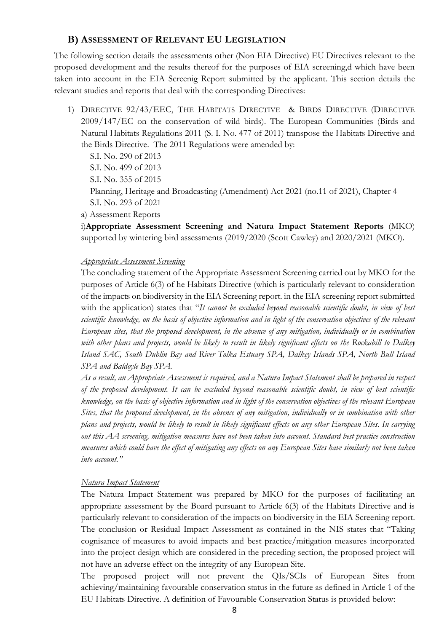## <span id="page-7-0"></span>**B) ASSESSMENT OF RELEVANT EU LEGISLATION**

The following section details the assessments other (Non EIA Directive) EU Directives relevant to the proposed development and the results thereof for the purposes of EIA screening,d which have been taken into account in the EIA Screenig Report submitted by the applicant. This section details the relevant studies and reports that deal with the corresponding Directives:

<span id="page-7-1"></span>1) DIRECTIVE 92/43/EEC, THE HABITATS DIRECTIVE & BIRDS DIRECTIVE (DIRECTIVE 2009/147/EC on the conservation of wild birds). The European Communities (Birds and Natural Habitats Regulations 2011 (S. I. No. 477 of 2011) transpose the Habitats Directive and the Birds Directive. The 2011 Regulations were amended by:

 S.I. No. 290 of 2013 S.I. No. 499 of 2013 S.I. No. 355 of 2015 Planning, Heritage and Broadcasting (Amendment) Act 2021 (no.11 of 2021), Chapter 4 S.I. No. 293 of 2021

a) Assessment Reports

i)**Appropriate Assessment Screening and Natura Impact Statement Reports** (MKO) supported by wintering bird assessments (2019/2020 (Scott Cawley) and 2020/2021 (MKO).

#### *Appropriate Assessment Screening*

The concluding statement of the Appropriate Assessment Screening carried out by MKO for the purposes of Article 6(3) of he Habitats Directive (which is particularly relevant to consideration of the impacts on biodiversity in the EIA Screening report. in the EIA screening report submitted with the application) states that "*It cannot be excluded beyond reasonable scientific doubt, in view of best scientific knowledge, on the basis of objective information and in light of the conservation objectives of the relevant European sites, that the proposed development, in the absence of any mitigation, individually or in combination*  with other plans and projects, would be likely to result in likely significant effects on the Rockabill to Dalkey *Island SAC, South Dublin Bay and River Tolka Estuary SPA, Dalkey Islands SPA, North Bull Island SPA and Baldoyle Bay SPA.* 

*As a result, an Appropriate Assessment is required, and a Natura Impact Statement shall be prepared in respect of the proposed development. It can be excluded beyond reasonable scientific doubt, in view of best scientific knowledge, on the basis of objective information and in light of the conservation objectives of the relevant European Sites, that the proposed development, in the absence of any mitigation, individually or in combination with other plans and projects, would be likely to result in likely significant effects on any other European Sites. In carrying out this AA screening, mitigation measures have not been taken into account. Standard best practice construction measures which could have the effect of mitigating any effects on any European Sites have similarly not been taken into account."*

#### *Natura Impact Statement*

The Natura Impact Statement was prepared by MKO for the purposes of facilitating an appropriate assessment by the Board pursuant to Article 6(3) of the Habitats Directive and is particularly relevant to consideration of the impacts on biodiversity in the EIA Screening report. The conclusion or Residual Impact Assessment as contained in the NIS states that "Taking cognisance of measures to avoid impacts and best practice/mitigation measures incorporated into the project design which are considered in the preceding section, the proposed project will not have an adverse effect on the integrity of any European Site.

The proposed project will not prevent the QIs/SCIs of European Sites from achieving/maintaining favourable conservation status in the future as defined in Article 1 of the EU Habitats Directive. A definition of Favourable Conservation Status is provided below: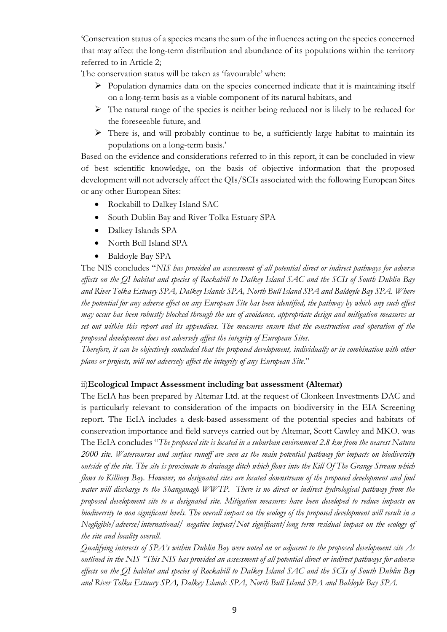'Conservation status of a species means the sum of the influences acting on the species concerned that may affect the long-term distribution and abundance of its populations within the territory referred to in Article 2;

The conservation status will be taken as 'favourable' when:

- ➢ Population dynamics data on the species concerned indicate that it is maintaining itself on a long-term basis as a viable component of its natural habitats, and
- $\triangleright$  The natural range of the species is neither being reduced nor is likely to be reduced for the foreseeable future, and
- ➢ There is, and will probably continue to be, a sufficiently large habitat to maintain its populations on a long-term basis.'

Based on the evidence and considerations referred to in this report, it can be concluded in view of best scientific knowledge, on the basis of objective information that the proposed development will not adversely affect the QIs/SCIs associated with the following European Sites or any other European Sites:

- Rockabill to Dalkey Island SAC
- South Dublin Bay and River Tolka Estuary SPA
- Dalkey Islands SPA
- North Bull Island SPA
- Baldoyle Bay SPA

The NIS concludes "*NIS has provided an assessment of all potential direct or indirect pathways for adverse effects on the QI habitat and species of Rockabill to Dalkey Island SAC and the SCIs of South Dublin Bay and River Tolka Estuary SPA, Dalkey Islands SPA, North Bull Island SPA and Baldoyle Bay SPA. Where the potential for any adverse effect on any European Site has been identified, the pathway by which any such effect may occur has been robustly blocked through the use of avoidance, appropriate design and mitigation measures as set out within this report and its appendices. The measures ensure that the construction and operation of the proposed development does not adversely affect the integrity of European Sites.*

*Therefore, it can be objectively concluded that the proposed development, individually or in combination with other plans or projects, will not adversely affect the integrity of any European Site*."

# ii)**Ecological Impact Assessment including bat assessment (Altemar)**

The EcIA has been prepared by Altemar Ltd. at the request of Clonkeen Investments DAC and is particularly relevant to consideration of the impacts on biodiversity in the EIA Screening report. The EcIA includes a desk-based assessment of the potential species and habitats of conservation importance and field surveys carried out by Altemar, Scott Cawley and MKO. was The EcIA concludes "*The proposed site is located in a suburban environment 2.8 km from the nearest Natura 2000 site. Watercourses and surface runoff are seen as the main potential pathway for impacts on biodiversity outside of the site. The site is proximate to drainage ditch which flows into the Kill Of The Grange Stream which flows to Killiney Bay. However, no designated sites are located downstream of the proposed development and foul water will discharge to the Shanganagh WWTP. There is no direct or indirect hydrological pathway from the proposed development site to a designated site. Mitigation measures have been developed to reduce impacts on biodiversity to non significant levels. The overall impact on the ecology of the proposed development will result in a Negligible/adverse/international/ negative impact/Not significant/long term residual impact on the ecology of the site and locality overall.*

*Qualifying interests of SPA's within Dublin Bay were noted on or adjacent to the proposed development site As outlined in the NIS "This NIS has provided an assessment of all potential direct or indirect pathways for adverse effects on the QI habitat and species of Rockabill to Dalkey Island SAC and the SCIs of South Dublin Bay and River Tolka Estuary SPA, Dalkey Islands SPA, North Bull Island SPA and Baldoyle Bay SPA.*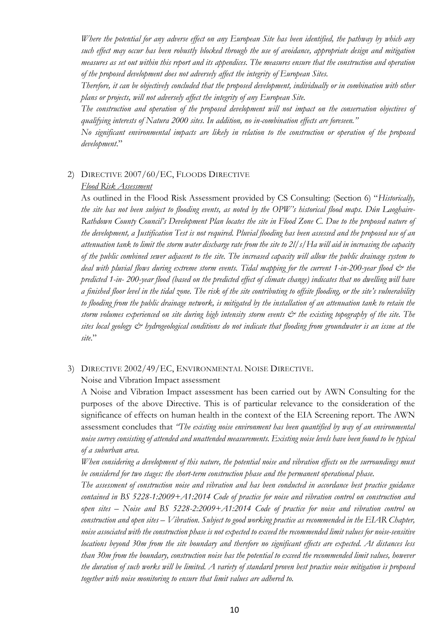*Where the potential for any adverse effect on any European Site has been identified, the pathway by which any such effect may occur has been robustly blocked through the use of avoidance, appropriate design and mitigation measures as set out within this report and its appendices. The measures ensure that the construction and operation of the proposed development does not adversely affect the integrity of European Sites.*

*Therefore, it can be objectively concluded that the proposed development, individually or in combination with other plans or projects, will not adversely affect the integrity of any European Site.*

*The construction and operation of the proposed development will not impact on the conservation objectives of qualifying interests of Natura 2000 sites. In addition, no in-combination effects are foreseen."*

*No significant environmental impacts are likely in relation to the construction or operation of the proposed development*."

#### <span id="page-9-0"></span>2) DIRECTIVE 2007/60/EC, FLOODS DIRECTIVE

#### *Flood Risk Assessment*

As outlined in the Flood Risk Assessment provided by CS Consulting: (Section 6) "*Historically, the site has not been subject to flooding events, as noted by the OPW's historical flood maps. Dún Laoghaire-Rathdown County Council's Development Plan locates the site in Flood Zone C. Due to the proposed nature of the development, a Justification Test is not required. Pluvial flooding has been assessed and the proposed use of an attenuation tank to limit the storm water discharge rate from the site to 2l/s/Ha will aid in increasing the capacity of the public combined sewer adjacent to the site. The increased capacity will allow the public drainage system to*  deal with pluvial flows during extreme storm events. Tidal mapping for the current 1-in-200-year flood  $\dot{\mathcal{O}}$  the *predicted 1-in- 200-year flood (based on the predicted effect of climate change) indicates that no dwelling will have a finished floor level in the tidal zone. The risk of the site contributing to offsite flooding, or the site's vulnerability to flooding from the public drainage network, is mitigated by the installation of an attenuation tank to retain the storm volumes experienced on site during high intensity storm events*  $\breve{c}$  *the existing topography of the site. The sites local geology & hydrogeological conditions do not indicate that flooding from groundwater is an issue at the site*."

#### <span id="page-9-1"></span>3) DIRECTIVE 2002/49/EC, ENVIRONMENTAL NOISE DIRECTIVE.

Noise and Vibration Impact assessment

A Noise and Vibration Impact assessment has been carried out by AWN Consulting for the purposes of the above Directive. This is of particular relevance to the consideration of the significance of effects on human health in the context of the EIA Screening report. The AWN assessment concludes that *"The existing noise environment has been quantified by way of an environmental noise survey consisting of attended and unattended measurements. Existing noise levels have been found to be typical of a suburban area.*

*When considering a development of this nature, the potential noise and vibration effects on the surroundings must be considered for two stages: the short-term construction phase and the permanent operational phase.*

*The assessment of construction noise and vibration and has been conducted in accordance best practice guidance contained in BS 5228-1:2009+A1:2014 Code of practice for noise and vibration control on construction and open sites – Noise and BS 5228-2:2009+A1:2014 Code of practice for noise and vibration control on construction and open sites – Vibration. Subject to good working practice as recommended in the EIAR Chapter, noise associated with the construction phase is not expected to exceed the recommended limit values for noise-sensitive locations beyond 30m from the site boundary and therefore no significant effects are expected. At distances less than 30m from the boundary, construction noise has the potential to exceed the recommended limit values, however the duration of such works will be limited. A variety of standard proven best practice noise mitigation is proposed together with noise monitoring to ensure that limit values are adhered to.*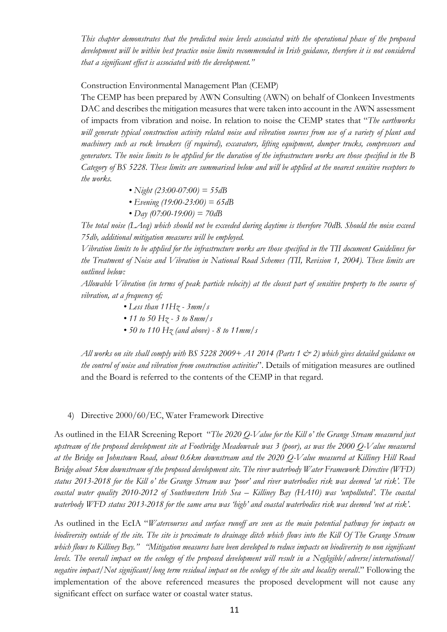*This chapter demonstrates that the predicted noise levels associated with the operational phase of the proposed development will be within best practice noise limits recommended in Irish guidance, therefore it is not considered that a significant effect is associated with the development."*

Construction Environmental Management Plan (CEMP)

The CEMP has been prepared by AWN Consulting (AWN) on behalf of Clonkeen Investments DAC and describes the mitigation measures that were taken into account in the AWN assessment of impacts from vibration and noise. In relation to noise the CEMP states that "*The earthworks will generate typical construction activity related noise and vibration sources from use of a variety of plant and machinery such as rock breakers (if required), excavators, lifting equipment, dumper trucks, compressors and generators. The noise limits to be applied for the duration of the infrastructure works are those specified in the B Category of BS 5228. These limits are summarised below and will be applied at the nearest sensitive receptors to the works.*

- *Night (23:00-07:00) = 55dB*
- *Evening (19:00-23:00) = 65dB*
- *Day (07:00-19:00) = 70dB*

*The total noise (LAeq) which should not be exceeded during daytime is therefore 70dB. Should the noise exceed 75db, additional mitigation measures will be employed.*

*Vibration limits to be applied for the infrastructure works are those specified in the TII document Guidelines for the Treatment of Noise and Vibration in National Road Schemes (TII, Revision 1, 2004). These limits are outlined below:*

*Allowable Vibration (in terms of peak particle velocity) at the closest part of sensitive property to the source of vibration, at a frequency of;*

- *Less than 11Hz - 3mm/s*
- *11 to 50 Hz - 3 to 8mm/s*
- *50 to 110 Hz (and above) - 8 to 11mm/s*

*All works on site shall comply with BS 5228 2009+ A1 2014 (Parts 1 & 2) which gives detailed guidance on the control of noise and vibration from construction activities*". Details of mitigation measures are outlined and the Board is referred to the contents of the CEMP in that regard.

#### 4) Directive 2000/60/EC, Water Framework Directive

As outlined in the EIAR Screening Report "*The 2020 Q-Value for the Kill o' the Grange Stream measured just upstream of the proposed development site at Footbridge Meadowvale was 3 (poor), as was the 2000 Q-Value measured at the Bridge on Johnstown Road, about 0.6km downstream and the 2020 Q-Value measured at Killiney Hill Road Bridge about 5km downstream of the proposed development site. The river waterbody Water Framework Directive (WFD) status 2013-2018 for the Kill o' the Grange Stream was 'poor' and river waterbodies risk was deemed 'at risk'. The coastal water quality 2010-2012 of Southwestern Irish Sea – Killiney Bay (HA10) was 'unpolluted'. The coastal waterbody WFD status 2013-2018 for the same area was 'high' and coastal waterbodies risk was deemed 'not at risk'*.

As outlined in the EcIA "*Watercourses and surface runoff are seen as the main potential pathway for impacts on biodiversity outside of the site. The site is proximate to drainage ditch which flows into the Kill Of The Grange Stream which flows to Killiney Bay." "Mitigation measures have been developed to reduce impacts on biodiversity to non significant levels. The overall impact on the ecology of the proposed development will result in a Negligible/adverse/international/ negative impact/Not significant/long term residual impact on the ecology of the site and locality overall*." Following the implementation of the above referenced measures the proposed development will not cause any significant effect on surface water or coastal water status.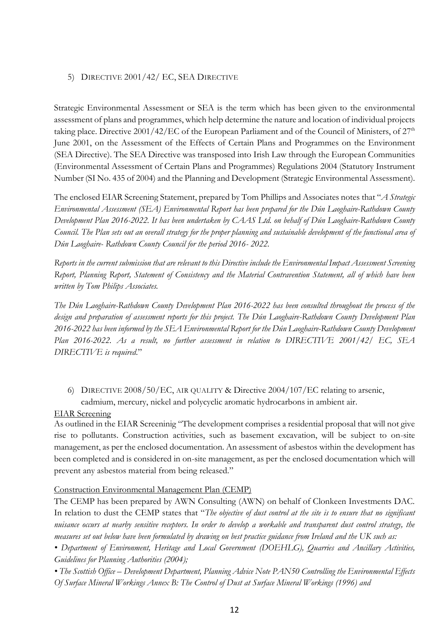### <span id="page-11-0"></span>5) DIRECTIVE 2001/42/ EC, SEA DIRECTIVE

Strategic Environmental Assessment or SEA is the term which has been given to the environmental assessment of plans and programmes, which help determine the nature and location of individual projects taking place. Directive  $2001/42/EC$  of the European Parliament and of the Council of Ministers, of  $27<sup>th</sup>$ June 2001, on the Assessment of the Effects of Certain Plans and Programmes on the Environment (SEA Directive). The SEA Directive was transposed into Irish Law through the European Communities (Environmental Assessment of Certain Plans and Programmes) Regulations 2004 (Statutory Instrument Number (SI No. 435 of 2004) and the Planning and Development (Strategic Environmental Assessment).

The enclosed EIAR Screening Statement, prepared by Tom Phillips and Associates notes that "*A Strategic Environmental Assessment (SEA) Environmental Report has been prepared for the Dún Laoghaire-Rathdown County Development Plan 2016-2022. It has been undertaken by CAAS Ltd. on behalf of Dún Laoghaire-Rathdown County Council. The Plan sets out an overall strategy for the proper planning and sustainable development of the functional area of Dún Laoghaire- Rathdown County Council for the period 2016- 2022.* 

*Reports in the current submission that are relevant to this Directive include the Environmental Impact Assessment Screening Report, Planning Report, Statement of Consistency and the Material Contravention Statement, all of which have been written by Tom Philips Associates.* 

*The Dún Laoghaire-Rathdown County Development Plan 2016-2022 has been consulted throughout the process of the design and preparation of assessment reports for this project. The Dún Laoghaire-Rathdown County Development Plan 2016-2022 has been informed by the SEA Environmental Report for the Dún Laoghaire-Rathdown County Development Plan 2016-2022. As a result, no further assessment in relation to DIRECTIVE 2001/42/ EC, SEA DIRECTIVE is required*."

<span id="page-11-1"></span>6) DIRECTIVE 2008/50/EC, AIR QUALITY & Directive 2004/107/EC relating to arsenic, cadmium, mercury, nickel and polycyclic aromatic hydrocarbons in ambient air.

### EIAR Screening

As outlined in the EIAR Screeninig "The development comprises a residential proposal that will not give rise to pollutants. Construction activities, such as basement excavation, will be subject to on-site management, as per the enclosed documentation. An assessment of asbestos within the development has been completed and is considered in on-site management, as per the enclosed documentation which will prevent any asbestos material from being released."

### Construction Environmental Management Plan (CEMP)

The CEMP has been prepared by AWN Consulting (AWN) on behalf of Clonkeen Investments DAC. In relation to dust the CEMP states that "*The objective of dust control at the site is to ensure that no significant nuisance occurs at nearby sensitive receptors. In order to develop a workable and transparent dust control strategy, the measures set out below have been formulated by drawing on best practice guidance from Ireland and the UK such as:*

*• Department of Environment, Heritage and Local Government (DOEHLG), Quarries and Ancillary Activities, Guidelines for Planning Authorities (2004);*

*• The Scottish Office – Development Department, Planning Advice Note PAN50 Controlling the Environmental Effects Of Surface Mineral Workings Annex B: The Control of Dust at Surface Mineral Workings (1996) and*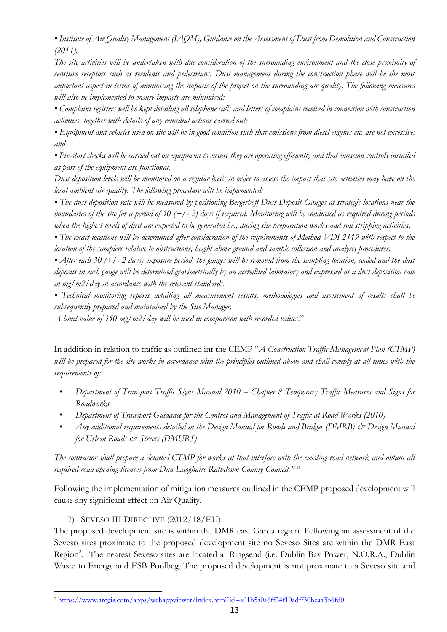*• Institute of Air Quality Management (IAQM), Guidance on the Assessment of Dust from Demolition and Construction (2014).*

*The site activities will be undertaken with due consideration of the surrounding environment and the close proximity of sensitive receptors such as residents and pedestrians. Dust management during the construction phase will be the most important aspect in terms of minimising the impacts of the project on the surrounding air quality. The following measures will also be implemented to ensure impacts are minimised:*

*• Complaint registers will be kept detailing all telephone calls and letters of complaint received in connection with construction activities, together with details of any remedial actions carried out;*

*• Equipment and vehicles used on site will be in good condition such that emissions from diesel engines etc. are not excessive; and*

*• Pre-start checks will be carried out on equipment to ensure they are operating efficiently and that emission controls installed as part of the equipment are functional.*

*Dust deposition levels will be monitored on a regular basis in order to assess the impact that site activities may have on the local ambient air quality. The following procedure will be implemented:*

*• The dust deposition rate will be measured by positioning Bergerhoff Dust Deposit Gauges at strategic locations near the boundaries of the site for a period of 30 (+/- 2) days if required. Monitoring will be conducted as required during periods when the highest levels of dust are expected to be generated i.e., during site preparation works and soil stripping activities.*

*• The exact locations will be determined after consideration of the requirements of Method VDI 2119 with respect to the location of the samplers relative to obstructions, height above ground and sample collection and analysis procedures.*

*• After each 30 (+/- 2 days) exposure period, the gauges will be removed from the sampling location, sealed and the dust deposits in each gauge will be determined gravimetrically by an accredited laboratory and expressed as a dust deposition rate in mg/m2/day in accordance with the relevant standards.*

*• Technical monitoring reports detailing all measurement results, methodologies and assessment of results shall be subsequently prepared and maintained by the Site Manager.*

*A limit value of 350 mg/m2/day will be used in comparison with recorded values*."

In addition in relation to traffic as outlined int the CEMP "*A Construction Traffic Management Plan (CTMP) will be prepared for the site works in accordance with the principles outlined above and shall comply at all times with the requirements of:*

- *Department of Transport Traffic Signs Manual 2010 – Chapter 8 Temporary Traffic Measures and Signs for Roadworks*
- *Department of Transport Guidance for the Control and Management of Traffic at Road Works (2010)*
- *Any additional requirements detailed in the Design Manual for Roads and Bridges (DMRB) & Design Manual for Urban Roads & Streets (DMURS)*

*The contractor shall prepare a detailed CTMP for works at that interface with the existing road network and obtain all required road opening licenses from Dun Laoghaire Rathdown County Council."* "

Following the implementation of mitigation measures outlined in the CEMP proposed development will cause any significant effect on Air Quality.

# 7) SEVESO III DIRECTIVE (2012/18/EU)

<span id="page-12-0"></span>The proposed development site is within the DMR east Garda region. Following an assessment of the Seveso sites proximate to the proposed development site no Seveso Sites are within the DMR East Region<sup>2</sup>. The nearest Seveso sites are located at Ringsend (i.e. Dublin Bay Power, N.O.R.A., Dublin Waste to Energy and ESB Poolbeg. The proposed development is not proximate to a Seveso site and

<sup>2</sup> <https://www.arcgis.com/apps/webappviewer/index.html?id=a01b5a0a6ff24f10adff30beaa3b6fd0>